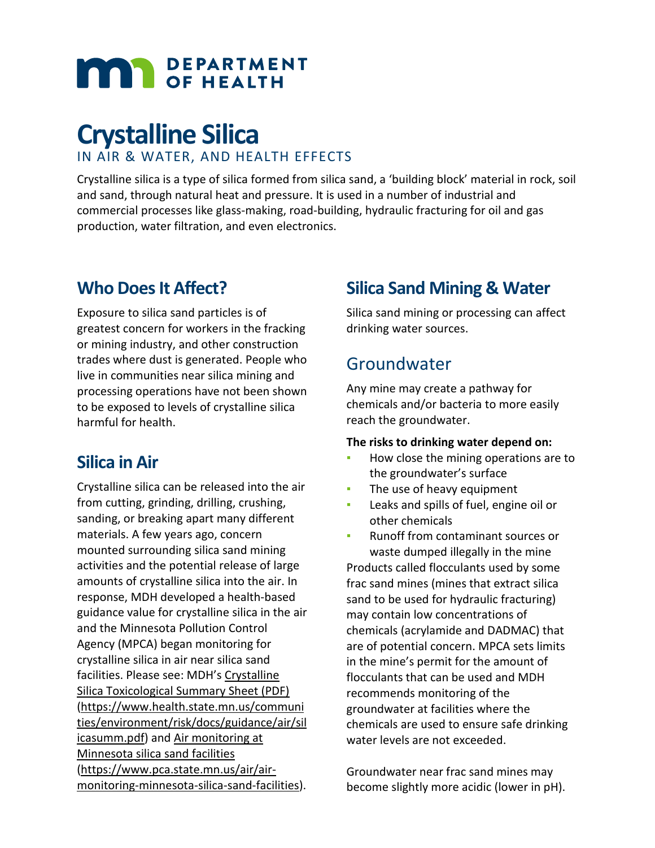# **MAR** DEPARTMENT

# **Crystalline Silica** IN AIR & WATER, AND HEALTH EFFECTS

Crystalline silica is a type of silica formed from silica sand, a 'building block' material in rock, soil and sand, through natural heat and pressure. It is used in a number of industrial and commercial processes like glass-making, road-building, hydraulic fracturing for oil and gas production, water filtration, and even electronics.

# **Who Does It Affect?**

Exposure to silica sand particles is of greatest concern for workers in the fracking or mining industry, and other construction trades where dust is generated. People who live in communities near silica mining and processing operations have not been shown to be exposed to levels of crystalline silica harmful for health.

## **Silica in Air**

Crystalline silica can be released into the air from cutting, grinding, drilling, crushing, sanding, or breaking apart many different materials. A few years ago, concern mounted surrounding silica sand mining activities and the potential release of large amounts of crystalline silica into the air. In response, MDH developed a health-based guidance value for crystalline silica in the air and the Minnesota Pollution Control Agency (MPCA) began monitoring for crystalline silica in air near silica sand facilities. Please see: MDH's [Crystalline](https://www.health.state.mn.us/communities/environment/risk/docs/guidance/air/silicasumm.pdf)  [Silica Toxicological Summary Sheet \(PDF\)](https://www.health.state.mn.us/communities/environment/risk/docs/guidance/air/silicasumm.pdf) [\(https://www.health.state.mn.us/communi](https://www.health.state.mn.us/communities/environment/risk/docs/guidance/air/silicasumm.pdf) [ties/environment/risk/docs/guidance/air/sil](https://www.health.state.mn.us/communities/environment/risk/docs/guidance/air/silicasumm.pdf) [icasumm.pdf\)](https://www.health.state.mn.us/communities/environment/risk/docs/guidance/air/silicasumm.pdf) and [Air monitoring at](https://www.pca.state.mn.us/air/air-monitoring-minnesota-silica-sand-facilities)  [Minnesota silica sand facilities](https://www.pca.state.mn.us/air/air-monitoring-minnesota-silica-sand-facilities) [\(https://www.pca.state.mn.us/air/air](https://www.pca.state.mn.us/air/air-monitoring-minnesota-silica-sand-facilities)[monitoring-minnesota-silica-sand-facilities\)](https://www.pca.state.mn.us/air/air-monitoring-minnesota-silica-sand-facilities).

# **Silica Sand Mining & Water**

Silica sand mining or processing can affect drinking water sources.

## Groundwater

Any mine may create a pathway for chemicals and/or bacteria to more easily reach the groundwater.

#### **The risks to drinking water depend on:**

- How close the mining operations are to the groundwater's surface
- The use of heavy equipment
- **EXEC** Leaks and spills of fuel, engine oil or other chemicals
- Runoff from contaminant sources or waste dumped illegally in the mine Products called flocculants used by some frac sand mines (mines that extract silica sand to be used for hydraulic fracturing) may contain low concentrations of chemicals (acrylamide and DADMAC) that are of potential concern. MPCA sets limits in the mine's permit for the amount of flocculants that can be used and MDH recommends monitoring of the groundwater at facilities where the chemicals are used to ensure safe drinking water levels are not exceeded.

Groundwater near frac sand mines may become slightly more acidic (lower in pH).